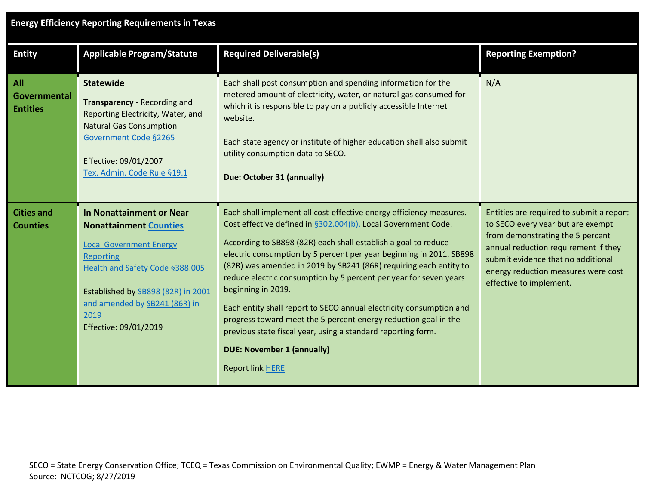| <b>Entity</b>                          | <b>Applicable Program/Statute</b>                                                                                                                                                                                                                   | <b>Required Deliverable(s)</b>                                                                                                                                                                                                                                                                                                                                                                                                                                                                                                                                                                                                                                                                                          | <b>Reporting Exemption?</b>                                                                                                                                                                                                                                       |
|----------------------------------------|-----------------------------------------------------------------------------------------------------------------------------------------------------------------------------------------------------------------------------------------------------|-------------------------------------------------------------------------------------------------------------------------------------------------------------------------------------------------------------------------------------------------------------------------------------------------------------------------------------------------------------------------------------------------------------------------------------------------------------------------------------------------------------------------------------------------------------------------------------------------------------------------------------------------------------------------------------------------------------------------|-------------------------------------------------------------------------------------------------------------------------------------------------------------------------------------------------------------------------------------------------------------------|
| All<br>Governmental<br><b>Entities</b> | <b>Statewide</b><br>Transparency - Recording and<br>Reporting Electricity, Water, and<br><b>Natural Gas Consumption</b><br>Government Code §2265<br>Effective: 09/01/2007<br>Tex. Admin. Code Rule §19.1                                            | Each shall post consumption and spending information for the<br>metered amount of electricity, water, or natural gas consumed for<br>which it is responsible to pay on a publicly accessible Internet<br>website.<br>Each state agency or institute of higher education shall also submit<br>utility consumption data to SECO.<br>Due: October 31 (annually)                                                                                                                                                                                                                                                                                                                                                            | N/A                                                                                                                                                                                                                                                               |
| <b>Cities and</b><br><b>Counties</b>   | In Nonattainment or Near<br><b>Nonattainment Counties</b><br><b>Local Government Energy</b><br>Reporting<br>Health and Safety Code §388.005<br>Established by SB898 (82R) in 2001<br>and amended by SB241 (86R) in<br>2019<br>Effective: 09/01/2019 | Each shall implement all cost-effective energy efficiency measures.<br>Cost effective defined in §302.004(b), Local Government Code.<br>According to SB898 (82R) each shall establish a goal to reduce<br>electric consumption by 5 percent per year beginning in 2011. SB898<br>(82R) was amended in 2019 by SB241 (86R) requiring each entity to<br>reduce electric consumption by 5 percent per year for seven years<br>beginning in 2019.<br>Each entity shall report to SECO annual electricity consumption and<br>progress toward meet the 5 percent energy reduction goal in the<br>previous state fiscal year, using a standard reporting form.<br><b>DUE: November 1 (annually)</b><br><b>Report link HERE</b> | Entities are required to submit a report<br>to SECO every year but are exempt<br>from demonstrating the 5 percent<br>annual reduction requirement if they<br>submit evidence that no additional<br>energy reduction measures were cost<br>effective to implement. |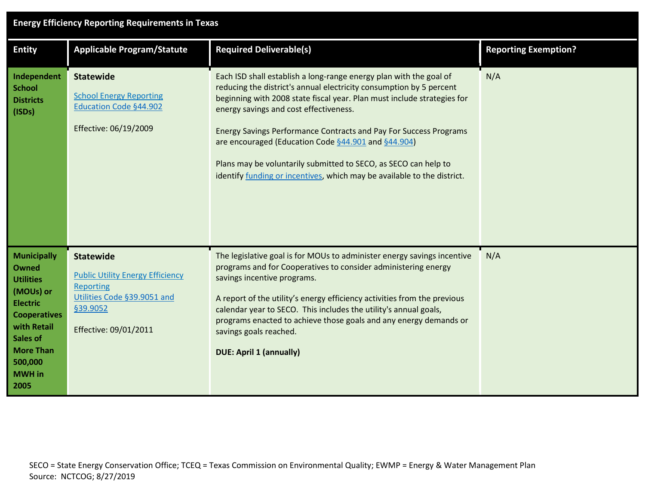## **Energy Efficiency Reporting Requirements in Texas**

| <b>Entity</b>                                                                                                                                                                                    | <b>Applicable Program/Statute</b>                                                                                                                   | <b>Required Deliverable(s)</b>                                                                                                                                                                                                                                                                                                                                                                                                                                                                                                                  | <b>Reporting Exemption?</b> |
|--------------------------------------------------------------------------------------------------------------------------------------------------------------------------------------------------|-----------------------------------------------------------------------------------------------------------------------------------------------------|-------------------------------------------------------------------------------------------------------------------------------------------------------------------------------------------------------------------------------------------------------------------------------------------------------------------------------------------------------------------------------------------------------------------------------------------------------------------------------------------------------------------------------------------------|-----------------------------|
| Independent<br><b>School</b><br><b>Districts</b><br>(ISDs)                                                                                                                                       | <b>Statewide</b><br><b>School Energy Reporting</b><br>Education Code §44.902<br>Effective: 06/19/2009                                               | Each ISD shall establish a long-range energy plan with the goal of<br>reducing the district's annual electricity consumption by 5 percent<br>beginning with 2008 state fiscal year. Plan must include strategies for<br>energy savings and cost effectiveness.<br><b>Energy Savings Performance Contracts and Pay For Success Programs</b><br>are encouraged (Education Code §44.901 and §44.904)<br>Plans may be voluntarily submitted to SECO, as SECO can help to<br>identify funding or incentives, which may be available to the district. | N/A                         |
| <b>Municipally</b><br><b>Owned</b><br><b>Utilities</b><br>(MOUs) or<br><b>Electric</b><br><b>Cooperatives</b><br>with Retail<br>Sales of<br><b>More Than</b><br>500,000<br><b>MWH</b> in<br>2005 | <b>Statewide</b><br><b>Public Utility Energy Efficiency</b><br><b>Reporting</b><br>Utilities Code §39.9051 and<br>§39.9052<br>Effective: 09/01/2011 | The legislative goal is for MOUs to administer energy savings incentive<br>programs and for Cooperatives to consider administering energy<br>savings incentive programs.<br>A report of the utility's energy efficiency activities from the previous<br>calendar year to SECO. This includes the utility's annual goals,<br>programs enacted to achieve those goals and any energy demands or<br>savings goals reached.<br><b>DUE: April 1 (annually)</b>                                                                                       | N/A                         |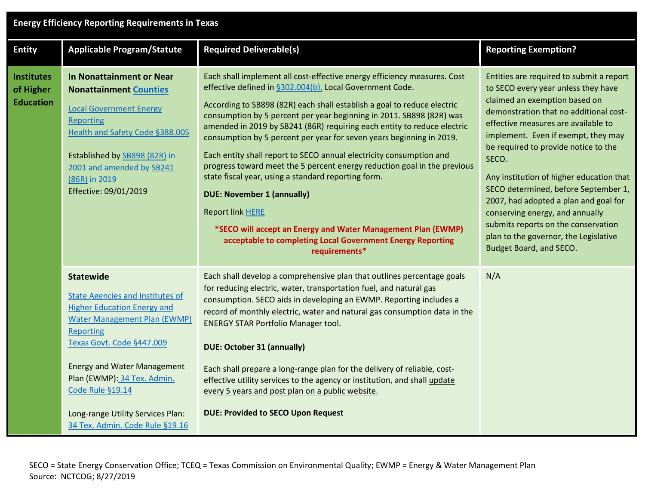## **Energy Efficiency Reporting Requirements in Texas**

I

| <b>Entity</b>                                      | <b>Applicable Program/Statute</b>                                                                                                                                                                                                                                                                                                                          | <b>Required Deliverable(s)</b>                                                                                                                                                                                                                                                                                                                                                                                                                                                                                                                                                                                                                                                                                                                                                                                                                                      | <b>Reporting Exemption?</b>                                                                                                                                                                                                                                                                                                                                                                                                                                                                                                                                          |
|----------------------------------------------------|------------------------------------------------------------------------------------------------------------------------------------------------------------------------------------------------------------------------------------------------------------------------------------------------------------------------------------------------------------|---------------------------------------------------------------------------------------------------------------------------------------------------------------------------------------------------------------------------------------------------------------------------------------------------------------------------------------------------------------------------------------------------------------------------------------------------------------------------------------------------------------------------------------------------------------------------------------------------------------------------------------------------------------------------------------------------------------------------------------------------------------------------------------------------------------------------------------------------------------------|----------------------------------------------------------------------------------------------------------------------------------------------------------------------------------------------------------------------------------------------------------------------------------------------------------------------------------------------------------------------------------------------------------------------------------------------------------------------------------------------------------------------------------------------------------------------|
| <b>Institutes</b><br>of Higher<br><b>Education</b> | In Nonattainment or Near<br><b>Nonattainment Counties</b><br><b>Local Government Energy</b><br><b>Reporting</b><br>Health and Safety Code §388.005<br>Established by SB898 (82R) in<br>2001 and amended by SB241<br>(86R) in 2019<br>Effective: 09/01/2019                                                                                                 | Each shall implement all cost-effective energy efficiency measures. Cost<br>effective defined in §302.004(b), Local Government Code.<br>According to SB898 (82R) each shall establish a goal to reduce electric<br>consumption by 5 percent per year beginning in 2011. SB898 (82R) was<br>amended in 2019 by SB241 (86R) requiring each entity to reduce electric<br>consumption by 5 percent per year for seven years beginning in 2019.<br>Each entity shall report to SECO annual electricity consumption and<br>progress toward meet the 5 percent energy reduction goal in the previous<br>state fiscal year, using a standard reporting form.<br><b>DUE: November 1 (annually)</b><br><b>Report link HERE</b><br>*SECO will accept an Energy and Water Management Plan (EWMP)<br>acceptable to completing Local Government Energy Reporting<br>requirements* | Entities are required to submit a report<br>to SECO every year unless they have<br>claimed an exemption based on<br>demonstration that no additional cost-<br>effective measures are available to<br>implement. Even if exempt, they may<br>be required to provide notice to the<br>SECO.<br>Any institution of higher education that<br>SECO determined, before September 1,<br>2007, had adopted a plan and goal for<br>conserving energy, and annually<br>submits reports on the conservation<br>plan to the governor, the Legislative<br>Budget Board, and SECO. |
|                                                    | <b>Statewide</b><br><b>State Agencies and Institutes of</b><br><b>Higher Education Energy and</b><br><b>Water Management Plan (EWMP)</b><br><b>Reporting</b><br>Texas Govt. Code §447.009<br><b>Energy and Water Management</b><br>Plan (EWMP): 34 Tex. Admin.<br>Code Rule §19.14<br>Long-range Utility Services Plan:<br>34 Tex. Admin. Code Rule §19.16 | Each shall develop a comprehensive plan that outlines percentage goals<br>for reducing electric, water, transportation fuel, and natural gas<br>consumption. SECO aids in developing an EWMP. Reporting includes a<br>record of monthly electric, water and natural gas consumption data in the<br><b>ENERGY STAR Portfolio Manager tool.</b><br><b>DUE: October 31 (annually)</b><br>Each shall prepare a long-range plan for the delivery of reliable, cost-<br>effective utility services to the agency or institution, and shall update<br>every 5 years and post plan on a public website.<br><b>DUE: Provided to SECO Upon Request</b>                                                                                                                                                                                                                        | N/A                                                                                                                                                                                                                                                                                                                                                                                                                                                                                                                                                                  |